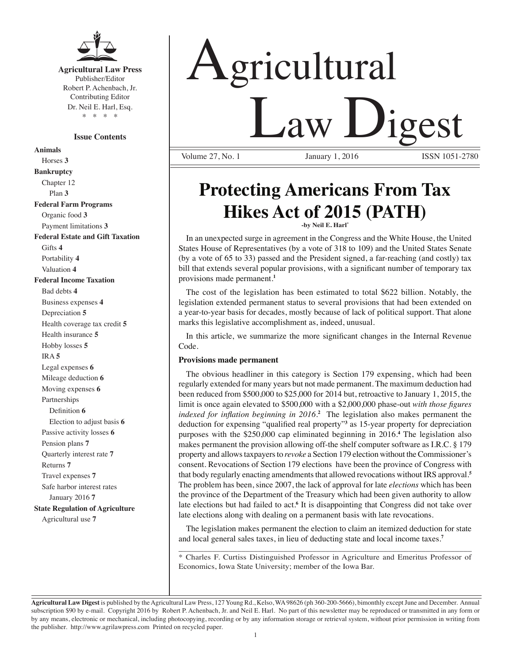

**Agricultural Law Press** Publisher/Editor Robert P. Achenbach, Jr. Contributing Editor Dr. Neil E. Harl, Esq. \* \* \* \*

## **Issue Contents**

**Animals** Horses **3 Bankruptcy** Chapter 12 Plan **3 Federal Farm Programs** Organic food **3** Payment limitations **3 Federal Estate and Gift Taxation** Gifts **4** Portability **4** Valuation **4 Federal Income Taxation** Bad debts **4** Business expenses **4** Depreciation **5** Health coverage tax credit **5** Health insurance **5** Hobby losses **5** IRA **5** Legal expenses **6** Mileage deduction **6** Moving expenses **6** Partnerships Definition **6** Election to adjust basis **6** Passive activity losses **6** Pension plans **7** Quarterly interest rate **7** Returns **7** Travel expenses **7** Safe harbor interest rates January 2016 **7 State Regulation of Agriculture** Agricultural use **7**

# Agricultural **Law Ligest** January 1, 2016

**Protecting Americans From Tax Hikes Act of 2015 (PATH) -by Neil E. Harl\*** 

In an unexpected surge in agreement in the Congress and the White House, the United States House of Representatives (by a vote of 318 to 109) and the United States Senate (by a vote of 65 to 33) passed and the President signed, a far-reaching (and costly) tax bill that extends several popular provisions, with a significant number of temporary tax provisions made permanent.**<sup>1</sup>**

The cost of the legislation has been estimated to total \$622 billion. Notably, the legislation extended permanent status to several provisions that had been extended on a year-to-year basis for decades, mostly because of lack of political support. That alone marks this legislative accomplishment as, indeed, unusual.

 In this article, we summarize the more significant changes in the Internal Revenue Code.

# **Provisions made permanent**

The obvious headliner in this category is Section 179 expensing, which had been regularly extended for many years but not made permanent. The maximum deduction had been reduced from \$500,000 to \$25,000 for 2014 but, retroactive to January 1, 2015, the limit is once again elevated to \$500,000 with a \$2,000,000 phase-out *with those figures indexed for inflation beginning in 2016.***<sup>2</sup>** The legislation also makes permanent the deduction for expensing "qualified real property"**<sup>3</sup>** as 15-year property for depreciation purposes with the \$250,000 cap eliminated beginning in 2016.**<sup>4</sup>** The legislation also makes permanent the provision allowing off-the shelf computer software as I.R.C. § 179 property and allows taxpayers to *revoke* a Section 179 election without the Commissioner's consent. Revocations of Section 179 elections have been the province of Congress with that body regularly enacting amendments that allowed revocations without IRS approval.**<sup>5</sup>** The problem has been, since 2007, the lack of approval for late *elections* which has been the province of the Department of the Treasury which had been given authority to allow late elections but had failed to act.<sup>6</sup> It is disappointing that Congress did not take over late elections along with dealing on a permanent basis with late revocations.

The legislation makes permanent the election to claim an itemized deduction for state and local general sales taxes, in lieu of deducting state and local income taxes.**<sup>7</sup>**

\_\_\_\_\_\_\_\_\_\_\_\_\_\_\_\_\_\_\_\_\_\_\_\_\_\_\_\_\_\_\_\_\_\_\_\_\_\_\_\_\_\_\_\_\_\_\_\_\_\_\_\_\_\_\_\_\_\_\_\_\_\_\_\_\_\_\_\_\_\_ \* Charles F. Curtiss Distinguished Professor in Agriculture and Emeritus Professor of Economics, Iowa State University; member of the Iowa Bar.

**Agricultural Law Digest** is published by the Agricultural Law Press, 127 Young Rd., Kelso, WA 98626 (ph 360-200-5666), bimonthly except June and December. Annual subscription \$90 by e-mail. Copyright 2016 by Robert P. Achenbach, Jr. and Neil E. Harl. No part of this newsletter may be reproduced or transmitted in any form or by any means, electronic or mechanical, including photocopying, recording or by any information storage or retrieval system, without prior permission in writing from the publisher. http://www.agrilawpress.com Printed on recycled paper.